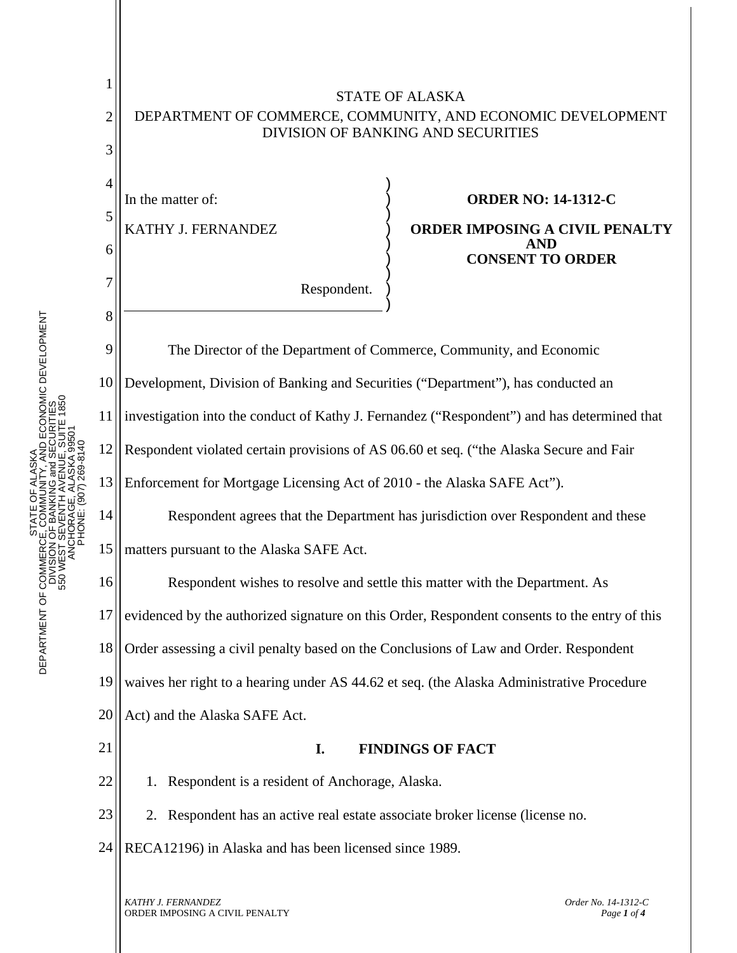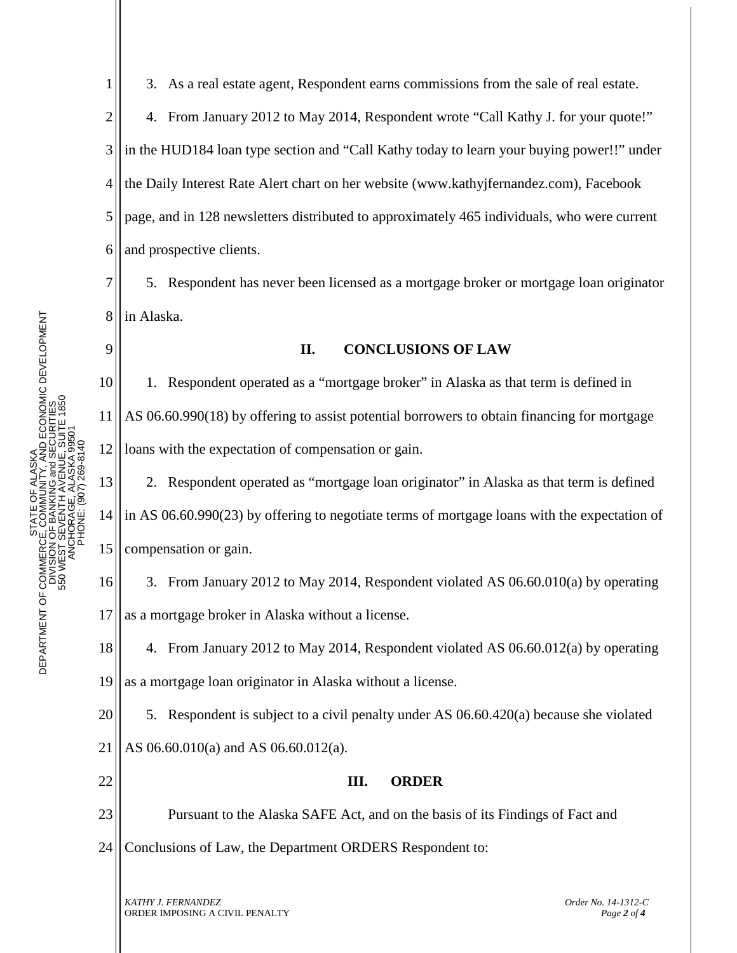1

9

3. As a real estate agent, Respondent earns commissions from the sale of real estate.

2 3 4 5 6 4. From January 2012 to May 2014, Respondent wrote "Call Kathy J. for your quote!" in the HUD184 loan type section and "Call Kathy today to learn your buying power!!" under the Daily Interest Rate Alert chart on her website [\(www.kathyjfernandez.com\)](http://www.kathyjfernandez.com/), Facebook page, and in 128 newsletters distributed to approximately 465 individuals, who were current and prospective clients.

7 8 5. Respondent has never been licensed as a mortgage broker or mortgage loan originator in Alaska.

**II. CONCLUSIONS OF LAW**

10 11 12 1. Respondent operated as a "mortgage broker" in Alaska as that term is defined in AS 06.60.990(18) by offering to assist potential borrowers to obtain financing for mortgage loans with the expectation of compensation or gain.

13 14 15 2. Respondent operated as "mortgage loan originator" in Alaska as that term is defined in AS 06.60.990(23) by offering to negotiate terms of mortgage loans with the expectation of compensation or gain.

16 17 3. From January 2012 to May 2014, Respondent violated AS 06.60.010(a) by operating as a mortgage broker in Alaska without a license.

18 19 4. From January 2012 to May 2014, Respondent violated AS 06.60.012(a) by operating as a mortgage loan originator in Alaska without a license.

20 5. Respondent is subject to a civil penalty under AS 06.60.420(a) because she violated

21 AS 06.60.010(a) and AS 06.60.012(a).

22

## **III. ORDER**

23 Pursuant to the Alaska SAFE Act, and on the basis of its Findings of Fact and

24 Conclusions of Law, the Department ORDERS Respondent to:

*KATHY J. FERNANDEZ Order No. 14-1312-C*  ORDER IMPOSING A CIVIL PENALTY *Page <sup>2</sup> of <sup>4</sup>*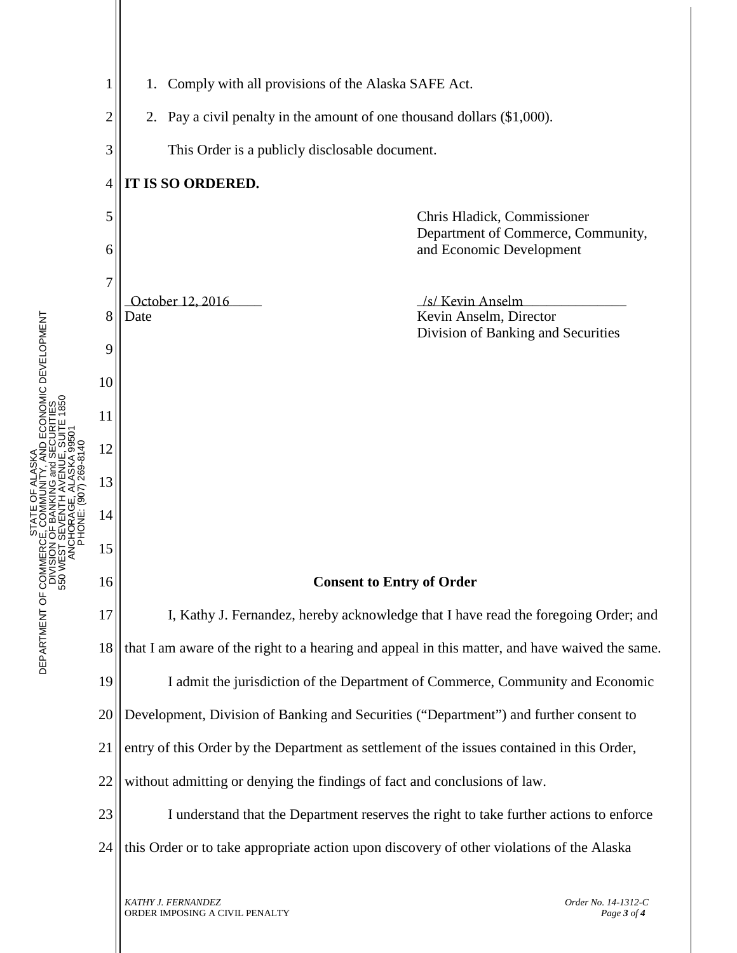

ORDER IMPOSING A CIVIL PENALTY *Page 3 of 4*